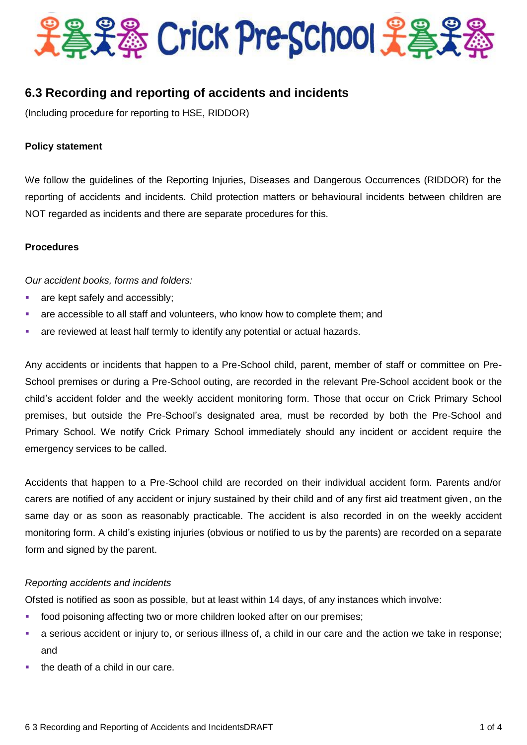

# **6.3 Recording and reporting of accidents and incidents**

(Including procedure for reporting to HSE, RIDDOR)

#### **Policy statement**

We follow the guidelines of the Reporting Injuries, Diseases and Dangerous Occurrences (RIDDOR) for the reporting of accidents and incidents. Child protection matters or behavioural incidents between children are NOT regarded as incidents and there are separate procedures for this.

#### **Procedures**

*Our accident books, forms and folders:*

- **are kept safely and accessibly;**
- are accessible to all staff and volunteers, who know how to complete them; and
- are reviewed at least half termly to identify any potential or actual hazards.

Any accidents or incidents that happen to a Pre-School child, parent, member of staff or committee on Pre-School premises or during a Pre-School outing, are recorded in the relevant Pre-School accident book or the child's accident folder and the weekly accident monitoring form. Those that occur on Crick Primary School premises, but outside the Pre-School's designated area, must be recorded by both the Pre-School and Primary School. We notify Crick Primary School immediately should any incident or accident require the emergency services to be called.

Accidents that happen to a Pre-School child are recorded on their individual accident form. Parents and/or carers are notified of any accident or injury sustained by their child and of any first aid treatment given, on the same day or as soon as reasonably practicable. The accident is also recorded in on the weekly accident monitoring form. A child's existing injuries (obvious or notified to us by the parents) are recorded on a separate form and signed by the parent.

## *Reporting accidents and incidents*

Ofsted is notified as soon as possible, but at least within 14 days, of any instances which involve:

- **f** food poisoning affecting two or more children looked after on our premises;
- a serious accident or injury to, or serious illness of, a child in our care and the action we take in response; and
- the death of a child in our care.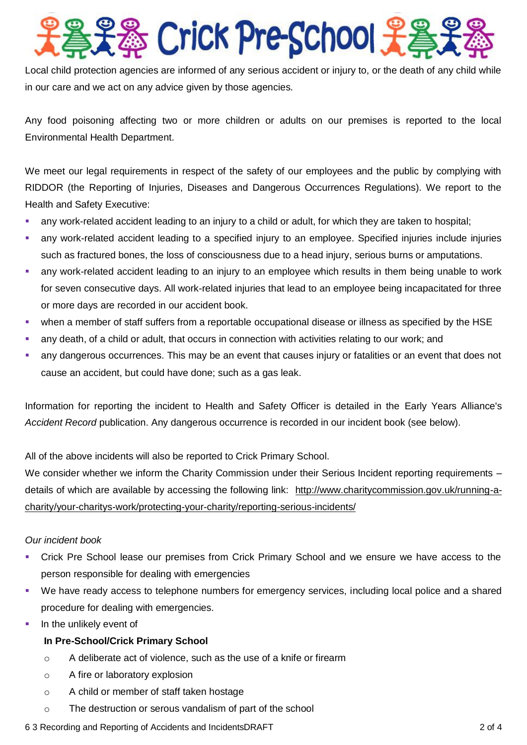# **& Crick Pre-School 光着**

Local child protection agencies are informed of any serious accident or injury to, or the death of any child while in our care and we act on any advice given by those agencies.

Any food poisoning affecting two or more children or adults on our premises is reported to the local Environmental Health Department.

We meet our legal requirements in respect of the safety of our employees and the public by complying with RIDDOR (the Reporting of Injuries, Diseases and Dangerous Occurrences Regulations). We report to the Health and Safety Executive:

- any work-related accident leading to an injury to a child or adult, for which they are taken to hospital;
- any work-related accident leading to a specified injury to an employee. Specified injuries include injuries such as fractured bones, the loss of consciousness due to a head injury, serious burns or amputations.
- any work-related accident leading to an injury to an employee which results in them being unable to work for seven consecutive days. All work-related injuries that lead to an employee being incapacitated for three or more days are recorded in our accident book.
- when a member of staff suffers from a reportable occupational disease or illness as specified by the HSE
- any death, of a child or adult, that occurs in connection with activities relating to our work; and
- any dangerous occurrences. This may be an event that causes injury or fatalities or an event that does not cause an accident, but could have done; such as a gas leak.

Information for reporting the incident to Health and Safety Officer is detailed in the Early Years Alliance's *Accident Record* publication. Any dangerous occurrence is recorded in our incident book (see below).

All of the above incidents will also be reported to Crick Primary School.

We consider whether we inform the Charity Commission under their Serious Incident reporting requirements – details of which are available by accessing the following link: [http://www.charitycommission.gov.uk/running-a](http://www.charitycommission.gov.uk/running-a-charity/your-charitys-work/protecting-your-charity/reporting-serious-incidents/)[charity/your-charitys-work/protecting-your-charity/reporting-serious-incidents/](http://www.charitycommission.gov.uk/running-a-charity/your-charitys-work/protecting-your-charity/reporting-serious-incidents/)

## *Our incident book*

- Crick Pre School lease our premises from Crick Primary School and we ensure we have access to the person responsible for dealing with emergencies
- We have ready access to telephone numbers for emergency services, including local police and a shared procedure for dealing with emergencies.
- $\blacksquare$  In the unlikely event of

# **In Pre-School/Crick Primary School**

- o A deliberate act of violence, such as the use of a knife or firearm
- o A fire or laboratory explosion
- o A child or member of staff taken hostage
- o The destruction or serous vandalism of part of the school

## 6 3 Recording and Reporting of Accidents and IncidentsDRAFT 2 of 4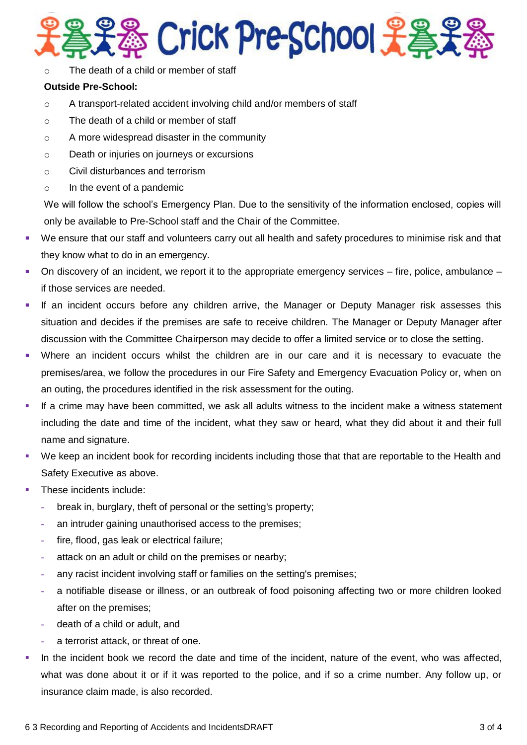

o The death of a child or member of staff

## **Outside Pre-School:**

- o A transport-related accident involving child and/or members of staff
- o The death of a child or member of staff
- o A more widespread disaster in the community
- o Death or injuries on journeys or excursions
- o Civil disturbances and terrorism
- o In the event of a pandemic

We will follow the school's Emergency Plan. Due to the sensitivity of the information enclosed, copies will only be available to Pre-School staff and the Chair of the Committee.

- We ensure that our staff and volunteers carry out all health and safety procedures to minimise risk and that they know what to do in an emergency.
- On discovery of an incident, we report it to the appropriate emergency services fire, police, ambulance if those services are needed.
- If an incident occurs before any children arrive, the Manager or Deputy Manager risk assesses this situation and decides if the premises are safe to receive children. The Manager or Deputy Manager after discussion with the Committee Chairperson may decide to offer a limited service or to close the setting.
- Where an incident occurs whilst the children are in our care and it is necessary to evacuate the premises/area, we follow the procedures in our Fire Safety and Emergency Evacuation Policy or, when on an outing, the procedures identified in the risk assessment for the outing.
- If a crime may have been committed, we ask all adults witness to the incident make a witness statement including the date and time of the incident, what they saw or heard, what they did about it and their full name and signature.
- We keep an incident book for recording incidents including those that that are reportable to the Health and Safety Executive as above.
- These incidents include:
	- **-** break in, burglary, theft of personal or the setting's property;
	- **-** an intruder gaining unauthorised access to the premises;
	- **-** fire, flood, gas leak or electrical failure;
	- **-** attack on an adult or child on the premises or nearby;
	- **-** any racist incident involving staff or families on the setting's premises;
	- **-** a notifiable disease or illness, or an outbreak of food poisoning affecting two or more children looked after on the premises;
	- **-** death of a child or adult, and
	- **-** a terrorist attack, or threat of one.
- In the incident book we record the date and time of the incident, nature of the event, who was affected, what was done about it or if it was reported to the police, and if so a crime number. Any follow up, or insurance claim made, is also recorded.